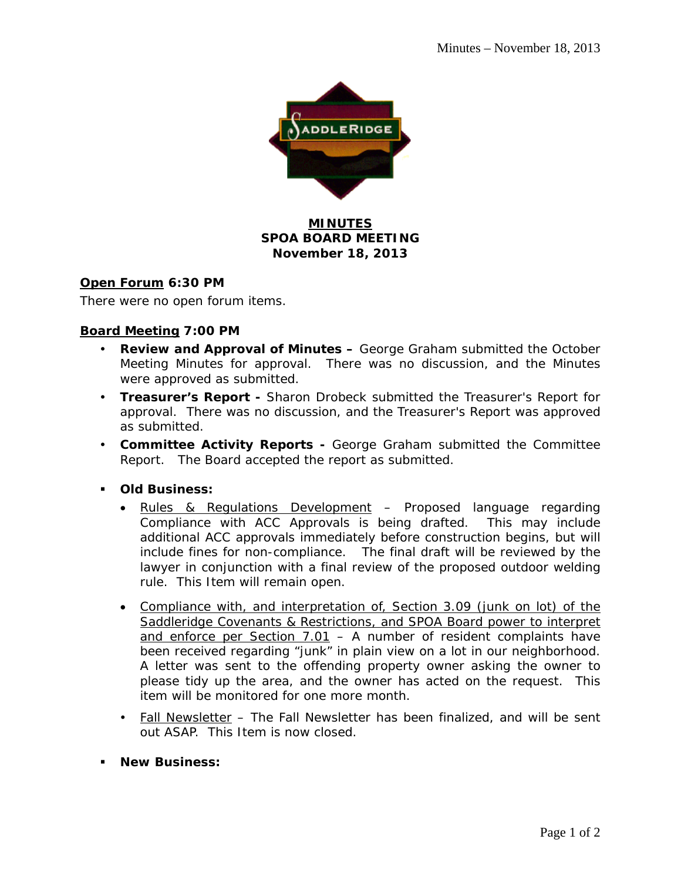

## **MINUTES SPOA BOARD MEETING November 18, 2013**

### **Open Forum 6:30 PM**

There were no open forum items.

### **Board Meeting 7:00 PM**

- **Review and Approval of Minutes –** George Graham submitted the October Meeting Minutes for approval. There was no discussion, and the Minutes were approved as submitted.
- **Treasurer's Report** Sharon Drobeck submitted the Treasurer's Report for approval. There was no discussion, and the Treasurer's Report was approved as submitted.
- **Committee Activity Reports** George Graham submitted the Committee Report. The Board accepted the report as submitted.
- **Old Business:** 
	- Rules & Regulations Development Proposed language regarding Compliance with ACC Approvals is being drafted. This may include additional ACC approvals immediately before construction begins, but will include fines for non-compliance. The final draft will be reviewed by the lawyer in conjunction with a final review of the proposed outdoor welding rule. This Item will remain open.
	- Compliance with, and interpretation of, Section 3.09 (junk on lot) of the Saddleridge Covenants & Restrictions, and SPOA Board power to interpret and enforce per Section 7.01 – A number of resident complaints have been received regarding "junk" in plain view on a lot in our neighborhood. A letter was sent to the offending property owner asking the owner to please tidy up the area, and the owner has acted on the request. This item will be monitored for one more month.
	- Fall Newsletter The Fall Newsletter has been finalized, and will be sent out ASAP. This Item is now closed.
- **New Business:**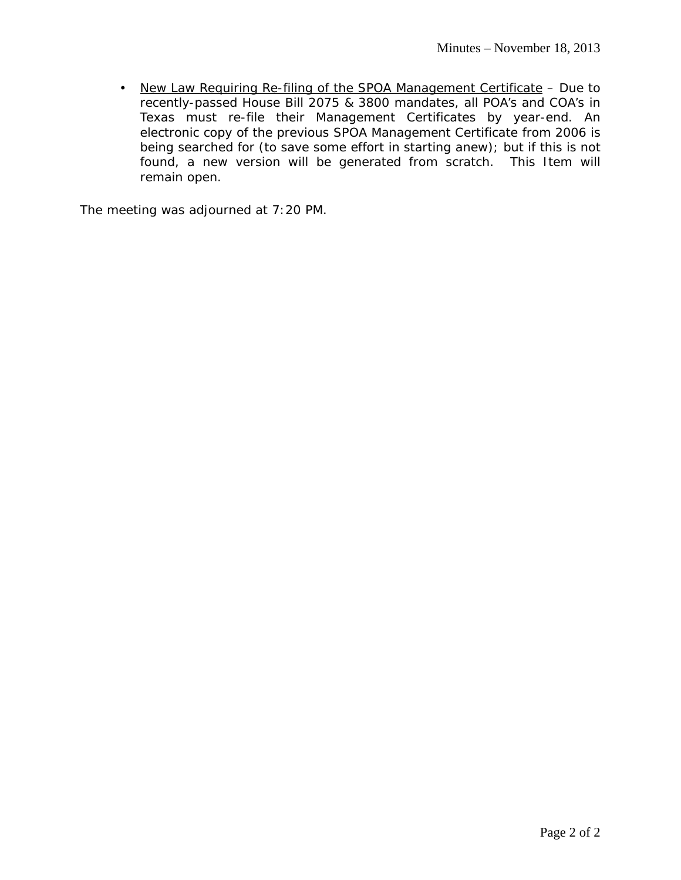• New Law Requiring Re-filing of the SPOA Management Certificate - Due to recently-passed House Bill 2075 & 3800 mandates, all POA's and COA's in Texas must re-file their Management Certificates by year-end. An electronic copy of the previous SPOA Management Certificate from 2006 is being searched for (to save some effort in starting anew); but if this is not found, a new version will be generated from scratch. This Item will remain open.

The meeting was adjourned at 7:20 PM.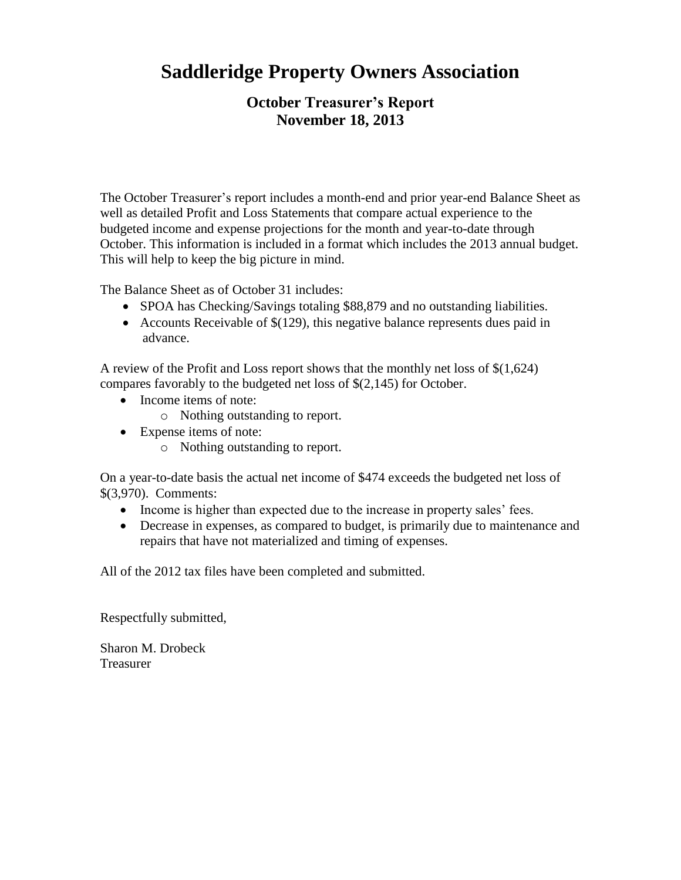# **Saddleridge Property Owners Association**

# **October Treasurer's Report November 18, 2013**

The October Treasurer's report includes a month-end and prior year-end Balance Sheet as well as detailed Profit and Loss Statements that compare actual experience to the budgeted income and expense projections for the month and year-to-date through October. This information is included in a format which includes the 2013 annual budget. This will help to keep the big picture in mind.

The Balance Sheet as of October 31 includes:

- SPOA has Checking/Savings totaling \$88,879 and no outstanding liabilities.
- Accounts Receivable of  $$(129)$ , this negative balance represents dues paid in advance.

A review of the Profit and Loss report shows that the monthly net loss of \$(1,624) compares favorably to the budgeted net loss of \$(2,145) for October.

- Income items of note:
	- o Nothing outstanding to report.
- Expense items of note:
	- o Nothing outstanding to report.

On a year-to-date basis the actual net income of \$474 exceeds the budgeted net loss of \$(3,970). Comments:

- Income is higher than expected due to the increase in property sales' fees.
- Decrease in expenses, as compared to budget, is primarily due to maintenance and repairs that have not materialized and timing of expenses.

All of the 2012 tax files have been completed and submitted.

Respectfully submitted,

Sharon M. Drobeck Treasurer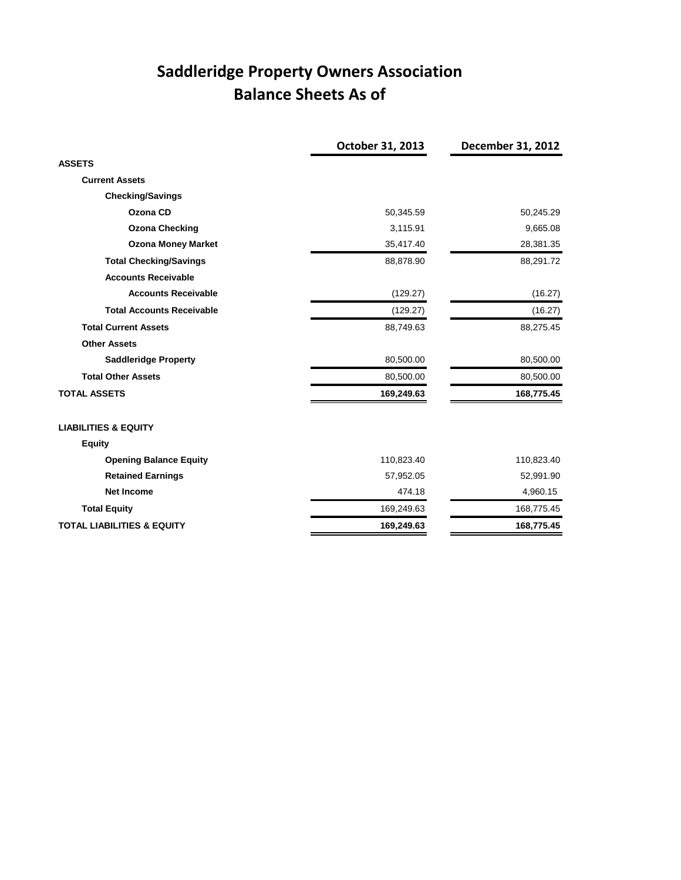# **Saddleridge Property Owners Association Balance Sheets As of**

|                                       | October 31, 2013 | December 31, 2012 |
|---------------------------------------|------------------|-------------------|
| <b>ASSETS</b>                         |                  |                   |
| <b>Current Assets</b>                 |                  |                   |
| <b>Checking/Savings</b>               |                  |                   |
| Ozona CD                              | 50,345.59        | 50,245.29         |
| <b>Ozona Checking</b>                 | 3,115.91         | 9,665.08          |
| <b>Ozona Money Market</b>             | 35,417.40        | 28,381.35         |
| <b>Total Checking/Savings</b>         | 88,878.90        | 88,291.72         |
| <b>Accounts Receivable</b>            |                  |                   |
| <b>Accounts Receivable</b>            | (129.27)         | (16.27)           |
| <b>Total Accounts Receivable</b>      | (129.27)         | (16.27)           |
| <b>Total Current Assets</b>           | 88,749.63        | 88,275.45         |
| <b>Other Assets</b>                   |                  |                   |
| <b>Saddleridge Property</b>           | 80,500.00        | 80,500.00         |
| <b>Total Other Assets</b>             | 80,500.00        | 80,500.00         |
| <b>TOTAL ASSETS</b>                   | 169,249.63       | 168,775.45        |
| <b>LIABILITIES &amp; EQUITY</b>       |                  |                   |
| <b>Equity</b>                         |                  |                   |
| <b>Opening Balance Equity</b>         | 110,823.40       | 110,823.40        |
| <b>Retained Earnings</b>              | 57,952.05        | 52,991.90         |
| <b>Net Income</b>                     | 474.18           | 4,960.15          |
| <b>Total Equity</b>                   | 169,249.63       | 168,775.45        |
| <b>TOTAL LIABILITIES &amp; EQUITY</b> | 169,249.63       | 168,775.45        |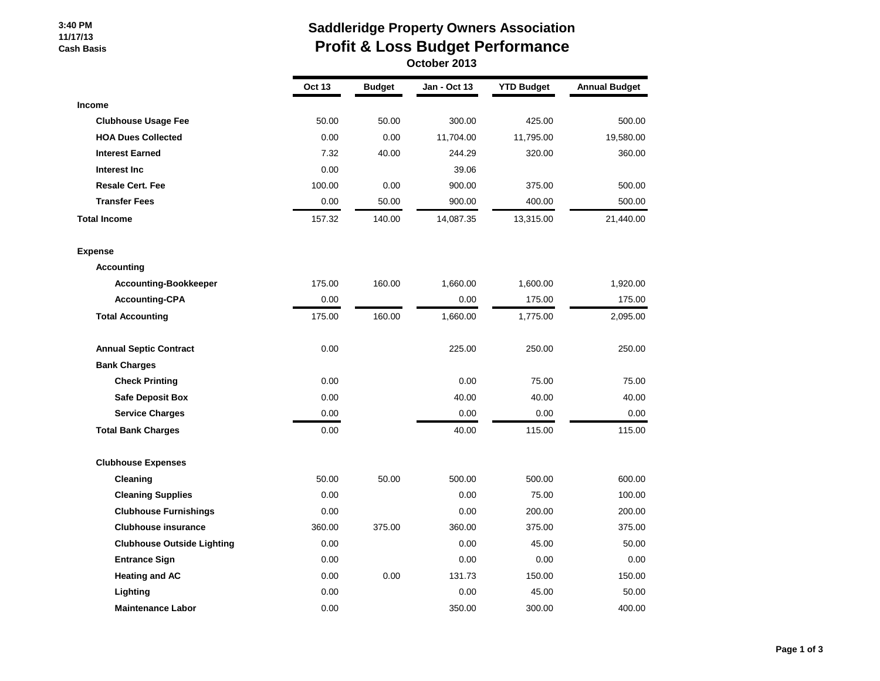#### **3:40 PM 11/17/13 Cash Basis**

## **Saddleridge Property Owners Association Profit & Loss Budget Performance October 2013**

|                                   | <b>Oct 13</b> | <b>Budget</b> | Jan - Oct 13 | <b>YTD Budget</b> | <b>Annual Budget</b> |
|-----------------------------------|---------------|---------------|--------------|-------------------|----------------------|
| Income                            |               |               |              |                   |                      |
| <b>Clubhouse Usage Fee</b>        | 50.00         | 50.00         | 300.00       | 425.00            | 500.00               |
| <b>HOA Dues Collected</b>         | 0.00          | 0.00          | 11,704.00    | 11,795.00         | 19,580.00            |
| <b>Interest Earned</b>            | 7.32          | 40.00         | 244.29       | 320.00            | 360.00               |
| Interest Inc                      | 0.00          |               | 39.06        |                   |                      |
| <b>Resale Cert. Fee</b>           | 100.00        | 0.00          | 900.00       | 375.00            | 500.00               |
| <b>Transfer Fees</b>              | 0.00          | 50.00         | 900.00       | 400.00            | 500.00               |
| <b>Total Income</b>               | 157.32        | 140.00        | 14,087.35    | 13,315.00         | 21,440.00            |
| <b>Expense</b>                    |               |               |              |                   |                      |
| <b>Accounting</b>                 |               |               |              |                   |                      |
| <b>Accounting-Bookkeeper</b>      | 175.00        | 160.00        | 1,660.00     | 1,600.00          | 1,920.00             |
| <b>Accounting-CPA</b>             | 0.00          |               | 0.00         | 175.00            | 175.00               |
| <b>Total Accounting</b>           | 175.00        | 160.00        | 1,660.00     | 1,775.00          | 2,095.00             |
| <b>Annual Septic Contract</b>     | 0.00          |               | 225.00       | 250.00            | 250.00               |
| <b>Bank Charges</b>               |               |               |              |                   |                      |
| <b>Check Printing</b>             | 0.00          |               | 0.00         | 75.00             | 75.00                |
| <b>Safe Deposit Box</b>           | 0.00          |               | 40.00        | 40.00             | 40.00                |
| <b>Service Charges</b>            | 0.00          |               | 0.00         | 0.00              | 0.00                 |
| <b>Total Bank Charges</b>         | 0.00          |               | 40.00        | 115.00            | 115.00               |
| <b>Clubhouse Expenses</b>         |               |               |              |                   |                      |
| Cleaning                          | 50.00         | 50.00         | 500.00       | 500.00            | 600.00               |
| <b>Cleaning Supplies</b>          | 0.00          |               | 0.00         | 75.00             | 100.00               |
| <b>Clubhouse Furnishings</b>      | 0.00          |               | 0.00         | 200.00            | 200.00               |
| <b>Clubhouse insurance</b>        | 360.00        | 375.00        | 360.00       | 375.00            | 375.00               |
| <b>Clubhouse Outside Lighting</b> | 0.00          |               | 0.00         | 45.00             | 50.00                |
| <b>Entrance Sign</b>              | 0.00          |               | 0.00         | 0.00              | 0.00                 |
| <b>Heating and AC</b>             | 0.00          | 0.00          | 131.73       | 150.00            | 150.00               |
| Lighting                          | 0.00          |               | 0.00         | 45.00             | 50.00                |
| <b>Maintenance Labor</b>          | 0.00          |               | 350.00       | 300.00            | 400.00               |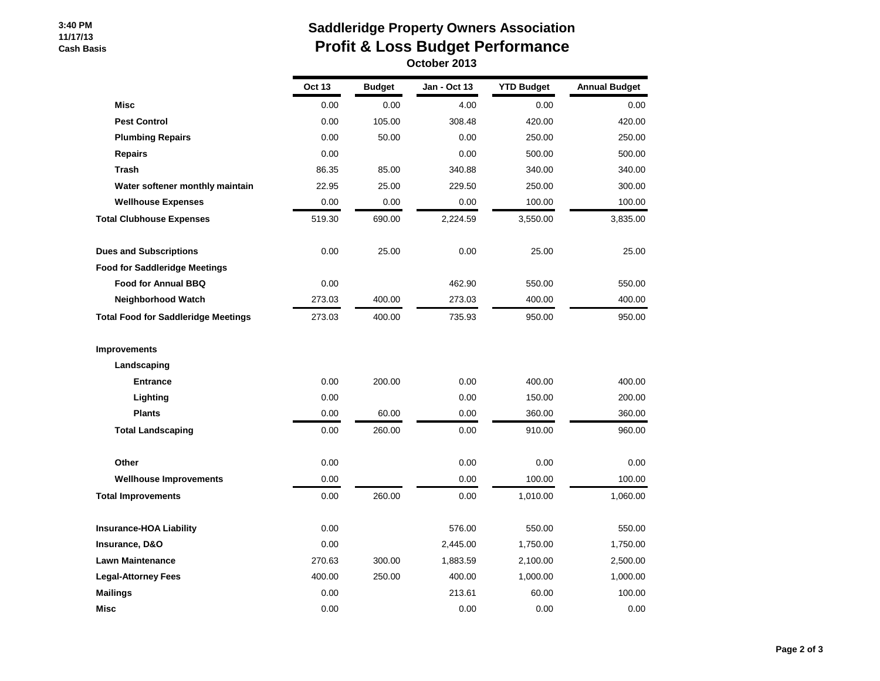#### **3:40 PM 11/17/13 Cash Basis**

## **Saddleridge Property Owners Association Profit & Loss Budget Performance October 2013**

|                                            | <b>Oct 13</b> | <b>Budget</b> | Jan - Oct 13 | <b>YTD Budget</b> | <b>Annual Budget</b> |
|--------------------------------------------|---------------|---------------|--------------|-------------------|----------------------|
| <b>Misc</b>                                | 0.00          | 0.00          | 4.00         | 0.00              | 0.00                 |
| <b>Pest Control</b>                        | 0.00          | 105.00        | 308.48       | 420.00            | 420.00               |
| <b>Plumbing Repairs</b>                    | 0.00          | 50.00         | 0.00         | 250.00            | 250.00               |
| <b>Repairs</b>                             | 0.00          |               | 0.00         | 500.00            | 500.00               |
| <b>Trash</b>                               | 86.35         | 85.00         | 340.88       | 340.00            | 340.00               |
| Water softener monthly maintain            | 22.95         | 25.00         | 229.50       | 250.00            | 300.00               |
| <b>Wellhouse Expenses</b>                  | 0.00          | 0.00          | 0.00         | 100.00            | 100.00               |
| <b>Total Clubhouse Expenses</b>            | 519.30        | 690.00        | 2,224.59     | 3,550.00          | 3,835.00             |
| <b>Dues and Subscriptions</b>              | 0.00          | 25.00         | 0.00         | 25.00             | 25.00                |
| <b>Food for Saddleridge Meetings</b>       |               |               |              |                   |                      |
| <b>Food for Annual BBQ</b>                 | 0.00          |               | 462.90       | 550.00            | 550.00               |
| <b>Neighborhood Watch</b>                  | 273.03        | 400.00        | 273.03       | 400.00            | 400.00               |
| <b>Total Food for Saddleridge Meetings</b> | 273.03        | 400.00        | 735.93       | 950.00            | 950.00               |
| <b>Improvements</b>                        |               |               |              |                   |                      |
| Landscaping                                |               |               |              |                   |                      |
| <b>Entrance</b>                            | 0.00          | 200.00        | 0.00         | 400.00            | 400.00               |
| Lighting                                   | 0.00          |               | 0.00         | 150.00            | 200.00               |
| <b>Plants</b>                              | 0.00          | 60.00         | 0.00         | 360.00            | 360.00               |
| <b>Total Landscaping</b>                   | 0.00          | 260.00        | 0.00         | 910.00            | 960.00               |
| Other                                      | 0.00          |               | 0.00         | 0.00              | 0.00                 |
| <b>Wellhouse Improvements</b>              | 0.00          |               | 0.00         | 100.00            | 100.00               |
| <b>Total Improvements</b>                  | 0.00          | 260.00        | 0.00         | 1,010.00          | 1,060.00             |
| <b>Insurance-HOA Liability</b>             | 0.00          |               | 576.00       | 550.00            | 550.00               |
| Insurance, D&O                             | 0.00          |               | 2,445.00     | 1,750.00          | 1,750.00             |
| <b>Lawn Maintenance</b>                    | 270.63        | 300.00        | 1,883.59     | 2,100.00          | 2,500.00             |
| <b>Legal-Attorney Fees</b>                 | 400.00        | 250.00        | 400.00       | 1,000.00          | 1,000.00             |
| <b>Mailings</b>                            | 0.00          |               | 213.61       | 60.00             | 100.00               |
| Misc                                       | 0.00          |               | 0.00         | 0.00              | 0.00                 |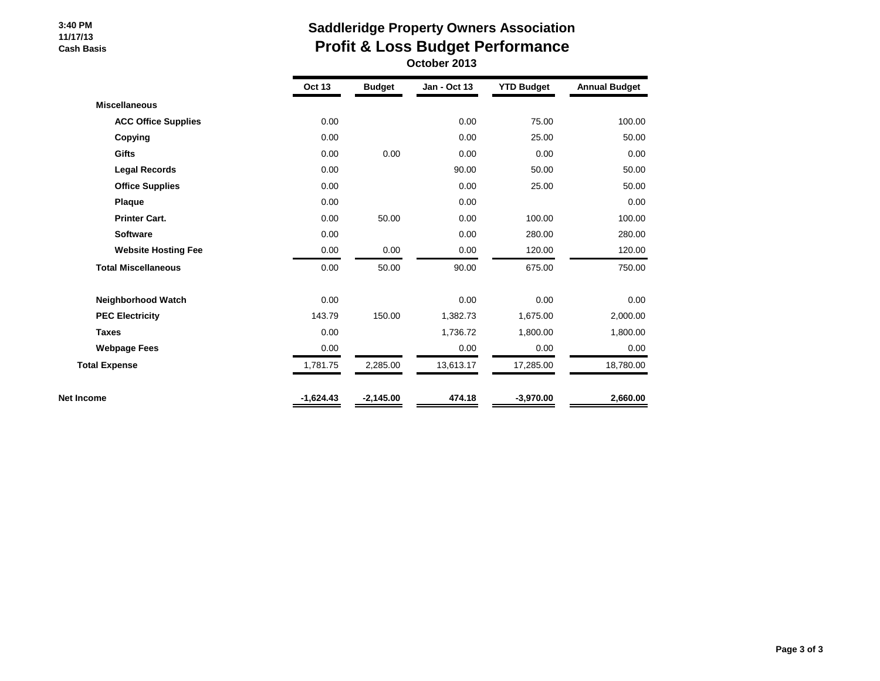#### **3:40 PM 11/17/13 Cash Basis**

## **Saddleridge Property Owners Association Profit & Loss Budget Performance October 2013**

|                            | <b>Oct 13</b> | <b>Budget</b> | Jan - Oct 13 | <b>YTD Budget</b> | <b>Annual Budget</b> |
|----------------------------|---------------|---------------|--------------|-------------------|----------------------|
| <b>Miscellaneous</b>       |               |               |              |                   |                      |
| <b>ACC Office Supplies</b> | 0.00          |               | 0.00         | 75.00             | 100.00               |
| Copying                    | 0.00          |               | 0.00         | 25.00             | 50.00                |
| <b>Gifts</b>               | 0.00          | 0.00          | 0.00         | 0.00              | 0.00                 |
| <b>Legal Records</b>       | 0.00          |               | 90.00        | 50.00             | 50.00                |
| <b>Office Supplies</b>     | 0.00          |               | 0.00         | 25.00             | 50.00                |
| Plaque                     | 0.00          |               | 0.00         |                   | 0.00                 |
| <b>Printer Cart.</b>       | 0.00          | 50.00         | 0.00         | 100.00            | 100.00               |
| <b>Software</b>            | 0.00          |               | 0.00         | 280.00            | 280.00               |
| <b>Website Hosting Fee</b> | 0.00          | 0.00          | 0.00         | 120.00            | 120.00               |
| <b>Total Miscellaneous</b> | 0.00          | 50.00         | 90.00        | 675.00            | 750.00               |
| Neighborhood Watch         | 0.00          |               | 0.00         | 0.00              | 0.00                 |
| <b>PEC Electricity</b>     | 143.79        | 150.00        | 1,382.73     | 1,675.00          | 2,000.00             |
| <b>Taxes</b>               | 0.00          |               | 1,736.72     | 1,800.00          | 1,800.00             |
| <b>Webpage Fees</b>        | 0.00          |               | 0.00         | 0.00              | 0.00                 |
| <b>Total Expense</b>       | 1,781.75      | 2,285.00      | 13,613.17    | 17,285.00         | 18,780.00            |
| Net Income                 | $-1,624.43$   | $-2,145.00$   | 474.18       | $-3,970.00$       | 2,660.00             |